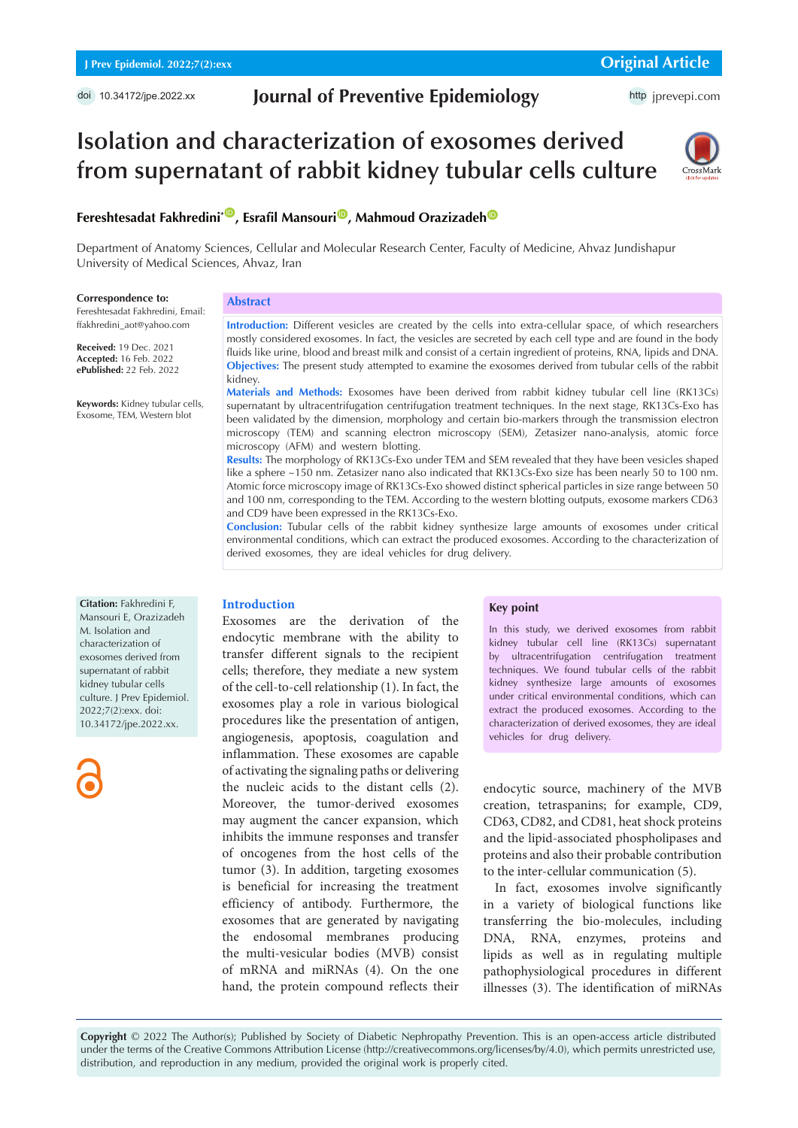# **Journal of Preventive Epidemiology**

http [jprevepi.com](http://jprevepi.com)

# **Isolation and characterization of exosomes derived from supernatant of rabbit kidney tubular cells culture**



# **Fereshtesadat Fakhredini<sup>\*</sup> D. Esrafil Mansouri<sup>1</sup> D. Mahmoud Orazizadeh <sup>[ID](https://orcid.org/0000-0002-0485-149X)</sup>**

Department of Anatomy Sciences, Cellular and Molecular Research Center, Faculty of Medicine, Ahvaz Jundishapur University of Medical Sciences, Ahvaz, Iran

#### **Correspondence to:**

Fereshtesadat Fakhredini, Email: ffakhredini\_aot@yahoo.com

**Received:** 19 Dec. 2021 **Accepted:** 16 Feb. 2022 **ePublished:** 22 Feb. 2022

**Keywords:** Kidney tubular cells, Exosome, TEM, Western blot

# **Abstract**

**Introduction:** Different vesicles are created by the cells into extra-cellular space, of which researchers mostly considered exosomes. In fact, the vesicles are secreted by each cell type and are found in the body fluids like urine, blood and breast milk and consist of a certain ingredient of proteins, RNA, lipids and DNA. **Objectives:** The present study attempted to examine the exosomes derived from tubular cells of the rabbit kidney.

**Materials and Methods:** Exosomes have been derived from rabbit kidney tubular cell line (RK13Cs) supernatant by ultracentrifugation centrifugation treatment techniques. In the next stage, RK13Cs-Exo has been validated by the dimension, morphology and certain bio-markers through the transmission electron microscopy (TEM) and scanning electron microscopy (SEM), Zetasizer nano-analysis, atomic force microscopy (AFM) and western blotting.

**Results:** The morphology of RK13Cs-Exo under TEM and SEM revealed that they have been vesicles shaped like a sphere ~150 nm. Zetasizer nano also indicated that RK13Cs-Exo size has been nearly 50 to 100 nm. Atomic force microscopy image of RK13Cs-Exo showed distinct spherical particles in size range between 50 and 100 nm, corresponding to the TEM. According to the western blotting outputs, exosome markers CD63 and CD9 have been expressed in the RK13Cs-Exo.

**Conclusion:** Tubular cells of the rabbit kidney synthesize large amounts of exosomes under critical environmental conditions, which can extract the produced exosomes. According to the characterization of derived exosomes, they are ideal vehicles for drug delivery.

#### **Citation:** Fakhredini F,

Mansouri E, Orazizadeh M. Isolation and characterization of exosomes derived from supernatant of rabbit kidney tubular cells culture. J Prev Epidemiol. 2022;7(2):exx. doi: 10.34172/jpe.2022.xx.

#### **Introduction**

Exosomes are the derivation of the endocytic membrane with the ability to transfer different signals to the recipient cells; therefore, they mediate a new system of the cell-to-cell relationship (1). In fact, the exosomes play a role in various biological procedures like the presentation of antigen, angiogenesis, apoptosis, coagulation and inflammation. These exosomes are capable of activating the signaling paths or delivering the nucleic acids to the distant cells (2). Moreover, the tumor-derived exosomes may augment the cancer expansion, which inhibits the immune responses and transfer of oncogenes from the host cells of the tumor (3). In addition, targeting exosomes is beneficial for increasing the treatment efficiency of antibody. Furthermore, the exosomes that are generated by navigating the endosomal membranes producing the multi-vesicular bodies (MVB) consist of mRNA and miRNAs (4). On the one hand, the protein compound reflects their

#### **Key point**

In this study, we derived exosomes from rabbit kidney tubular cell line (RK13Cs) supernatant by ultracentrifugation centrifugation treatment techniques. We found tubular cells of the rabbit kidney synthesize large amounts of exosomes under critical environmental conditions, which can extract the produced exosomes. According to the characterization of derived exosomes, they are ideal vehicles for drug delivery.

endocytic source, machinery of the MVB creation, tetraspanins; for example, CD9, CD63, CD82, and CD81, heat shock proteins and the lipid-associated phospholipases and proteins and also their probable contribution to the inter-cellular communication (5).

In fact, exosomes involve significantly in a variety of biological functions like transferring the bio-molecules, including DNA, RNA, enzymes, proteins and lipids as well as in regulating multiple pathophysiological procedures in different illnesses (3). The identification of miRNAs

**Copyright** © 2022 The Author(s); Published by Society of Diabetic Nephropathy Prevention. This is an open-access article distributed under the terms of the Creative Commons Attribution License (http://creativecommons.org/licenses/by/4.0), which permits unrestricted use, distribution, and reproduction in any medium, provided the original work is properly cited.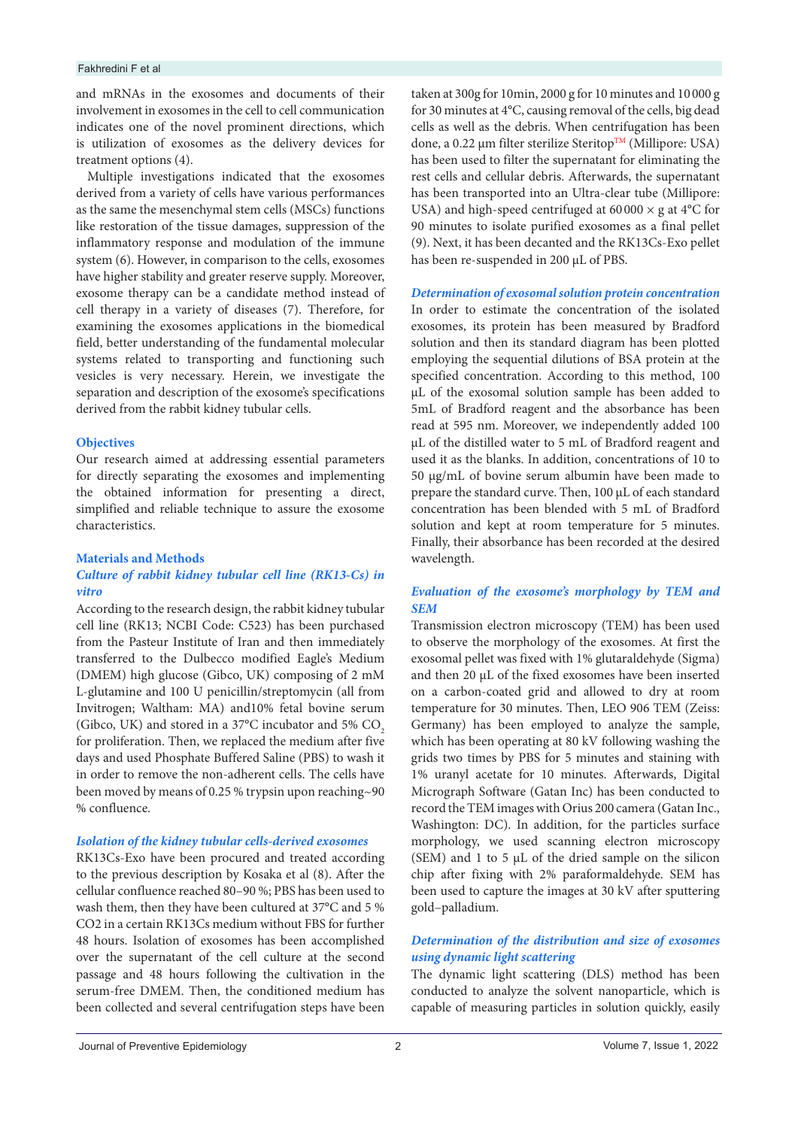#### Fakhredini F et al

and mRNAs in the exosomes and documents of their involvement in exosomes in the cell to cell communication indicates one of the novel prominent directions, which is utilization of exosomes as the delivery devices for treatment options (4).

Multiple investigations indicated that the exosomes derived from a variety of cells have various performances as the same the mesenchymal stem cells (MSCs) functions like restoration of the tissue damages, suppression of the inflammatory response and modulation of the immune system (6). However, in comparison to the cells, exosomes have higher stability and greater reserve supply. Moreover, exosome therapy can be a candidate method instead of cell therapy in a variety of diseases (7). Therefore, for examining the exosomes applications in the biomedical field, better understanding of the fundamental molecular systems related to transporting and functioning such vesicles is very necessary. Herein, we investigate the separation and description of the exosome's specifications derived from the rabbit kidney tubular cells.

#### **Objectives**

Our research aimed at addressing essential parameters for directly separating the exosomes and implementing the obtained information for presenting a direct, simplified and reliable technique to assure the exosome characteristics.

#### **Materials and Methods**

#### *Culture of rabbit kidney tubular cell line (RK13-Cs) in vitro*

According to the research design, the rabbit kidney tubular cell line (RK13; NCBI Code: C523) has been purchased from the Pasteur Institute of Iran and then immediately transferred to the Dulbecco modified Eagle's Medium (DMEM) high glucose (Gibco, UK) composing of 2 mM L-glutamine and 100 U penicillin/streptomycin (all from Invitrogen; Waltham: MA) and10% fetal bovine serum (Gibco, UK) and stored in a 37°C incubator and 5% CO<sub>2</sub> for proliferation. Then, we replaced the medium after five days and used Phosphate Buffered Saline (PBS) to wash it in order to remove the non-adherent cells. The cells have been moved by means of 0.25 % trypsin upon reaching~90 % confluence.

# *Isolation of the kidney tubular cells-derived exosomes*

RK13Cs-Exo have been procured and treated according to the previous description by Kosaka et al (8). After the cellular confluence reached 80–90 %; PBS has been used to wash them, then they have been cultured at 37°C and 5 % CO2 in a certain RK13Cs medium without FBS for further 48 hours. Isolation of exosomes has been accomplished over the supernatant of the cell culture at the second passage and 48 hours following the cultivation in the serum-free DMEM. Then, the conditioned medium has been collected and several centrifugation steps have been

taken at 300g for 10min, 2000 g for 10 minutes and 10 000 g for 30 minutes at 4°C, causing removal of the cells, big dead cells as well as the debris. When centrifugation has been done, a 0.22 μm filter sterilize Steritop<sup>TM</sup> (Millipore: USA) has been used to filter the supernatant for eliminating the rest cells and cellular debris. Afterwards, the supernatant has been transported into an Ultra-clear tube (Millipore: USA) and high-speed centrifuged at  $60000 \times g$  at  $4^{\circ}$ C for 90 minutes to isolate purified exosomes as a final pellet (9). Next, it has been decanted and the RK13Cs-Exo pellet has been re-suspended in 200 μL of PBS.

*Determination of exosomal solution protein concentration* In order to estimate the concentration of the isolated exosomes, its protein has been measured by Bradford solution and then its standard diagram has been plotted employing the sequential dilutions of BSA protein at the specified concentration. According to this method, 100 μL of the exosomal solution sample has been added to 5mL of Bradford reagent and the absorbance has been read at 595 nm. Moreover, we independently added 100 μL of the distilled water to 5 mL of Bradford reagent and used it as the blanks. In addition, concentrations of 10 to 50 µg/mL of bovine serum albumin have been made to prepare the standard curve. Then, 100 μL of each standard concentration has been blended with 5 mL of Bradford solution and kept at room temperature for 5 minutes. Finally, their absorbance has been recorded at the desired wavelength.

# *Evaluation of the exosome's morphology by TEM and SEM*

Transmission electron microscopy (TEM) has been used to observe the morphology of the exosomes. At first the exosomal pellet was fixed with 1% glutaraldehyde (Sigma) and then 20 μL of the fixed exosomes have been inserted on a carbon-coated grid and allowed to dry at room temperature for 30 minutes. Then, LEO 906 TEM (Zeiss: Germany) has been employed to analyze the sample, which has been operating at 80 kV following washing the grids two times by PBS for 5 minutes and staining with 1% uranyl acetate for 10 minutes. Afterwards, Digital Micrograph Software (Gatan Inc) has been conducted to record the TEM images with Orius 200 camera (Gatan Inc., Washington: DC). In addition, for the particles surface morphology, we used scanning electron microscopy (SEM) and 1 to 5 μL of the dried sample on the silicon chip after fixing with 2% paraformaldehyde. SEM has been used to capture the images at 30 kV after sputtering gold–palladium.

# *Determination of the distribution and size of exosomes using dynamic light scattering*

The dynamic light scattering (DLS) method has been conducted to analyze the solvent nanoparticle, which is capable of measuring particles in solution quickly, easily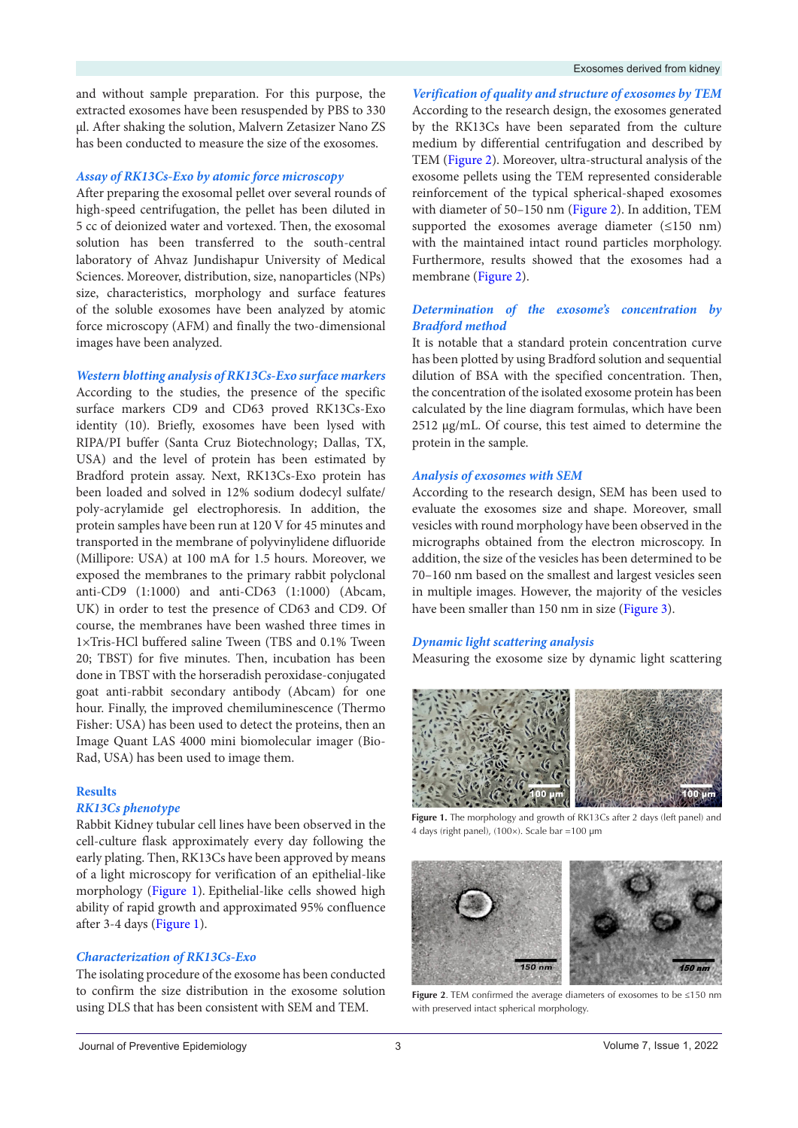and without sample preparation. For this purpose, the extracted exosomes have been resuspended by PBS to 330 µl. After shaking the solution, Malvern Zetasizer Nano ZS has been conducted to measure the size of the exosomes.

#### *Assay of RK13Cs-Exo by atomic force microscopy*

After preparing the exosomal pellet over several rounds of high-speed centrifugation, the pellet has been diluted in 5 cc of deionized water and vortexed. Then, the exosomal solution has been transferred to the south-central laboratory of Ahvaz Jundishapur University of Medical Sciences. Moreover, distribution, size, nanoparticles (NPs) size, characteristics, morphology and surface features of the soluble exosomes have been analyzed by atomic force microscopy (AFM) and finally the two-dimensional images have been analyzed.

#### *Western blotting analysis of RK13Cs-Exo surface markers*

According to the studies, the presence of the specific surface markers CD9 and CD63 proved RK13Cs-Exo identity (10). Briefly, exosomes have been lysed with RIPA/PI buffer (Santa Cruz Biotechnology; Dallas, TX, USA) and the level of protein has been estimated by Bradford protein assay. Next, RK13Cs-Exo protein has been loaded and solved in 12% sodium dodecyl sulfate/ poly-acrylamide gel electrophoresis. In addition, the protein samples have been run at 120 V for 45 minutes and transported in the membrane of polyvinylidene difluoride (Millipore: USA) at 100 mA for 1.5 hours. Moreover, we exposed the membranes to the primary rabbit polyclonal anti-CD9 (1:1000) and anti-CD63 (1:1000) (Abcam, UK) in order to test the presence of CD63 and CD9. Of course, the membranes have been washed three times in 1×Tris-HCl buffered saline Tween (TBS and 0.1% Tween 20; TBST) for five minutes. Then, incubation has been done in TBST with the horseradish peroxidase-conjugated goat anti-rabbit secondary antibody (Abcam) for one hour. Finally, the improved chemiluminescence (Thermo Fisher: USA) has been used to detect the proteins, then an Image Quant LAS 4000 mini biomolecular imager (Bio-Rad, USA) has been used to image them.

#### **Results**

#### *RK13Cs phenotype*

Rabbit Kidney tubular cell lines have been observed in the cell-culture flask approximately every day following the early plating. Then, RK13Cs have been approved by means of a light microscopy for verification of an epithelial-like morphology [\(Figure 1\)](#page-2-0). Epithelial-like cells showed high ability of rapid growth and approximated 95% confluence after 3-4 days [\(Figure 1](#page-2-0)).

#### *Characterization of RK13Cs-Exo*

The isolating procedure of the exosome has been conducted to confirm the size distribution in the exosome solution using DLS that has been consistent with SEM and TEM.

*Verification of quality and structure of exosomes by TEM*  According to the research design, the exosomes generated by the RK13Cs have been separated from the culture medium by differential centrifugation and described by TEM [\(Figure 2](#page-2-1)). Moreover, ultra-structural analysis of the exosome pellets using the TEM represented considerable reinforcement of the typical spherical-shaped exosomes with diameter of 50–150 nm [\(Figure 2](#page-2-1)). In addition, TEM supported the exosomes average diameter (≤150 nm) with the maintained intact round particles morphology. Furthermore, results showed that the exosomes had a membrane [\(Figure 2](#page-2-1)).

#### *Determination of the exosome's concentration by Bradford method*

It is notable that a standard protein concentration curve has been plotted by using Bradford solution and sequential dilution of BSA with the specified concentration. Then, the concentration of the isolated exosome protein has been calculated by the line diagram formulas, which have been 2512 μg/mL. Of course, this test aimed to determine the protein in the sample.

#### *Analysis of exosomes with SEM*

According to the research design, SEM has been used to evaluate the exosomes size and shape. Moreover, small vesicles with round morphology have been observed in the micrographs obtained from the electron microscopy. In addition, the size of the vesicles has been determined to be 70–160 nm based on the smallest and largest vesicles seen in multiple images. However, the majority of the vesicles have been smaller than 150 nm in size [\(Figure](#page-3-0) 3).

#### *Dynamic light scattering analysis*

Measuring the exosome size by dynamic light scattering

<span id="page-2-0"></span>

**Figure 1.** The morphology and growth of RK13Cs after 2 days (left panel) and 4 days (right panel), (100×). Scale bar =100 µm

<span id="page-2-1"></span>

**Figure 2**. TEM confirmed the average diameters of exosomes to be ≤150 nm with preserved intact spherical morphology.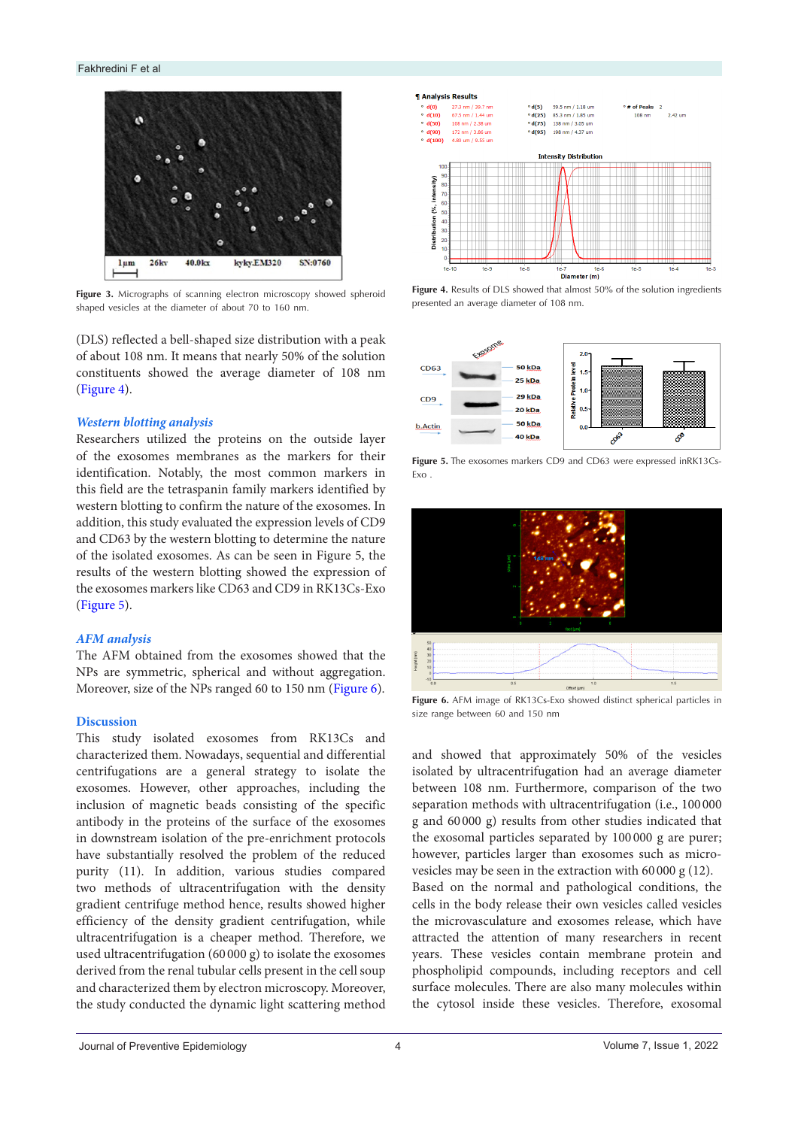<span id="page-3-0"></span>

Figure 3. Micrographs of scanning electron microscopy showed spheroid shaped vesicles at the diameter of about 70 to 160 nm.

(DLS) reflected a bell-shaped size distribution with a peak of about 108 nm. It means that nearly 50% of the solution constituents showed the average diameter of 108 nm [\(Figure 4](#page-3-1)).

### *Western blotting analysis*

Researchers utilized the proteins on the outside layer of the exosomes membranes as the markers for their identification. Notably, the most common markers in this field are the tetraspanin family markers identified by western blotting to confirm the nature of the exosomes. In addition, this study evaluated the expression levels of CD9 and CD63 by the western blotting to determine the nature of the isolated exosomes. As can be seen in Figure 5, the results of the western blotting showed the expression of the exosomes markers like CD63 and CD9 in RK13Cs-Exo [\(Figure 5](#page-3-2)).

#### *AFM analysis*

The AFM obtained from the exosomes showed that the NPs are symmetric, spherical and without aggregation. Moreover, size of the NPs ranged 60 to 150 nm ([Figure 6](#page-3-3)).

#### **Discussion**

This study isolated exosomes from RK13Cs and characterized them. Nowadays, sequential and differential centrifugations are a general strategy to isolate the exosomes. However, other approaches, including the inclusion of magnetic beads consisting of the specific antibody in the proteins of the surface of the exosomes in downstream isolation of the pre-enrichment protocols have substantially resolved the problem of the reduced purity (11). In addition, various studies compared two methods of ultracentrifugation with the density gradient centrifuge method hence, results showed higher efficiency of the density gradient centrifugation, while ultracentrifugation is a cheaper method. Therefore, we used ultracentrifugation (60 000 g) to isolate the exosomes derived from the renal tubular cells present in the cell soup and characterized them by electron microscopy. Moreover, the study conducted the dynamic light scattering method

<span id="page-3-1"></span>

**Figure 4.** Results of DLS showed that almost 50% of the solution ingredients presented an average diameter of 108 nm.

<span id="page-3-2"></span>

**Figure 5.** The exosomes markers CD9 and CD63 were expressed inRK13Cs-Exo .

<span id="page-3-3"></span>

**Figure 6.** AFM image of RK13Cs-Exo showed distinct spherical particles in size range between 60 and 150 nm

and showed that approximately 50% of the vesicles isolated by ultracentrifugation had an average diameter between 108 nm. Furthermore, comparison of the two separation methods with ultracentrifugation (i.e., 100 000 g and 60 000 g) results from other studies indicated that the exosomal particles separated by 100 000 g are purer; however, particles larger than exosomes such as microvesicles may be seen in the extraction with 60 000 g (12).

Based on the normal and pathological conditions, the cells in the body release their own vesicles called vesicles the microvasculature and exosomes release, which have attracted the attention of many researchers in recent years. These vesicles contain membrane protein and phospholipid compounds, including receptors and cell surface molecules. There are also many molecules within the cytosol inside these vesicles. Therefore, exosomal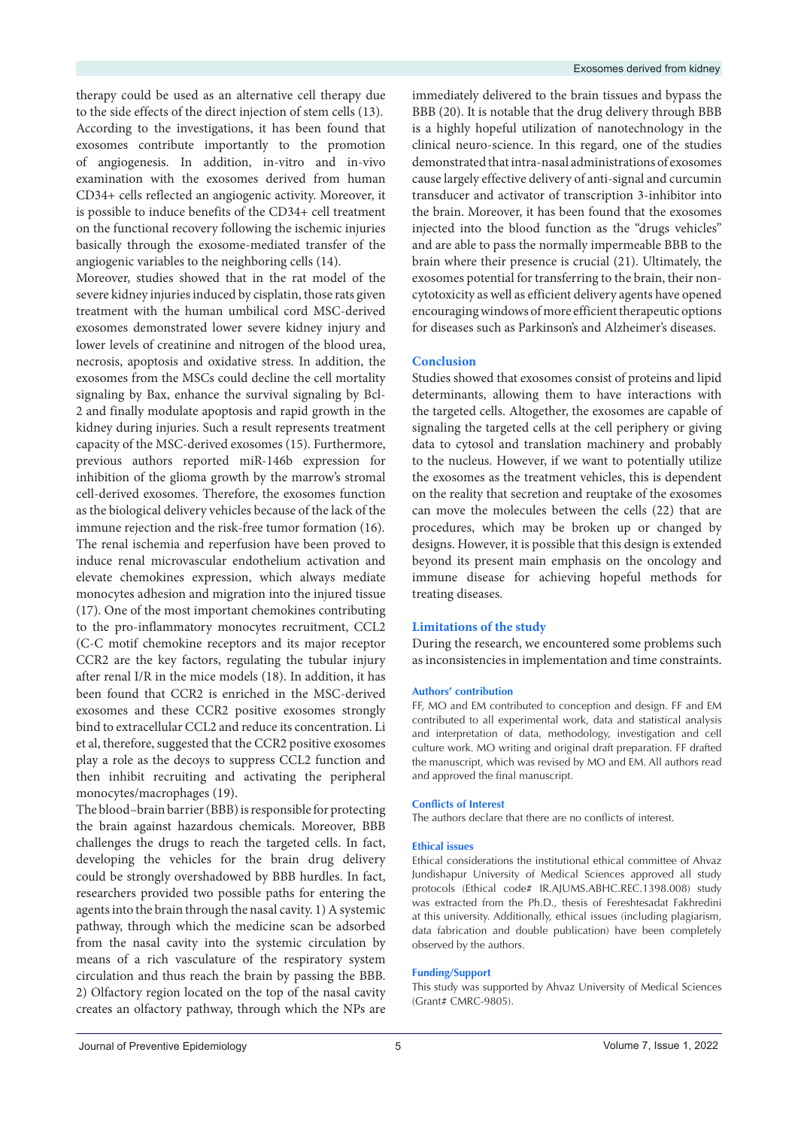therapy could be used as an alternative cell therapy due to the side effects of the direct injection of stem cells (13). According to the investigations, it has been found that exosomes contribute importantly to the promotion of angiogenesis. In addition, in-vitro and in-vivo examination with the exosomes derived from human CD34+ cells reflected an angiogenic activity. Moreover, it is possible to induce benefits of the CD34+ cell treatment on the functional recovery following the ischemic injuries basically through the exosome-mediated transfer of the angiogenic variables to the neighboring cells (14).

Moreover, studies showed that in the rat model of the severe kidney injuries induced by cisplatin, those rats given treatment with the human umbilical cord MSC-derived exosomes demonstrated lower severe kidney injury and lower levels of creatinine and nitrogen of the blood urea, necrosis, apoptosis and oxidative stress. In addition, the exosomes from the MSCs could decline the cell mortality signaling by Bax, enhance the survival signaling by Bcl-2 and finally modulate apoptosis and rapid growth in the kidney during injuries. Such a result represents treatment capacity of the MSC-derived exosomes (15). Furthermore, previous authors reported miR-146b expression for inhibition of the glioma growth by the marrow's stromal cell-derived exosomes. Therefore, the exosomes function as the biological delivery vehicles because of the lack of the immune rejection and the risk-free tumor formation (16). The renal ischemia and reperfusion have been proved to induce renal microvascular endothelium activation and elevate chemokines expression, which always mediate monocytes adhesion and migration into the injured tissue (17). One of the most important chemokines contributing to the pro-inflammatory monocytes recruitment, CCL2 (C-C motif chemokine receptors and its major receptor CCR2 are the key factors, regulating the tubular injury after renal I/R in the mice models (18). In addition, it has been found that CCR2 is enriched in the MSC-derived exosomes and these CCR2 positive exosomes strongly bind to extracellular CCL2 and reduce its concentration. Li et al, therefore, suggested that the CCR2 positive exosomes play a role as the decoys to suppress CCL2 function and then inhibit recruiting and activating the peripheral monocytes/macrophages (19).

The blood–brain barrier (BBB) is responsible for protecting the brain against hazardous chemicals. Moreover, BBB challenges the drugs to reach the targeted cells. In fact, developing the vehicles for the brain drug delivery could be strongly overshadowed by BBB hurdles. In fact, researchers provided two possible paths for entering the agents into the brain through the nasal cavity. 1) A systemic pathway, through which the medicine scan be adsorbed from the nasal cavity into the systemic circulation by means of a rich vasculature of the respiratory system circulation and thus reach the brain by passing the BBB. 2) Olfactory region located on the top of the nasal cavity creates an olfactory pathway, through which the NPs are

immediately delivered to the brain tissues and bypass the BBB (20). It is notable that the drug delivery through BBB is a highly hopeful utilization of nanotechnology in the clinical neuro-science. In this regard, one of the studies demonstrated that intra-nasal administrations of exosomes cause largely effective delivery of anti-signal and curcumin transducer and activator of transcription 3-inhibitor into the brain. Moreover, it has been found that the exosomes injected into the blood function as the "drugs vehicles" and are able to pass the normally impermeable BBB to the brain where their presence is crucial (21). Ultimately, the exosomes potential for transferring to the brain, their noncytotoxicity as well as efficient delivery agents have opened encouraging windows of more efficient therapeutic options for diseases such as Parkinson's and Alzheimer's diseases.

#### **Conclusion**

Studies showed that exosomes consist of proteins and lipid determinants, allowing them to have interactions with the targeted cells. Altogether, the exosomes are capable of signaling the targeted cells at the cell periphery or giving data to cytosol and translation machinery and probably to the nucleus. However, if we want to potentially utilize the exosomes as the treatment vehicles, this is dependent on the reality that secretion and reuptake of the exosomes can move the molecules between the cells (22) that are procedures, which may be broken up or changed by designs. However, it is possible that this design is extended beyond its present main emphasis on the oncology and immune disease for achieving hopeful methods for treating diseases.

#### **Limitations of the study**

During the research, we encountered some problems such as inconsistencies in implementation and time constraints.

#### **Authors' contribution**

FF, MO and EM contributed to conception and design. FF and EM contributed to all experimental work, data and statistical analysis and interpretation of data, methodology, investigation and cell culture work. MO writing and original draft preparation. FF drafted the manuscript, which was revised by MO and EM. All authors read and approved the final manuscript.

#### **Conflicts of Interest**

The authors declare that there are no conflicts of interest.

#### **Ethical issues**

Ethical considerations the institutional ethical committee of Ahvaz Jundishapur University of Medical Sciences approved all study protocols (Ethical code# IR.AJUMS.ABHC.REC.1398.008) study was extracted from the Ph.D., thesis of Fereshtesadat Fakhredini at this university. Additionally, ethical issues (including plagiarism, data fabrication and double publication) have been completely observed by the authors.

#### **Funding/Support**

This study was supported by Ahvaz University of Medical Sciences (Grant# CMRC-9805).